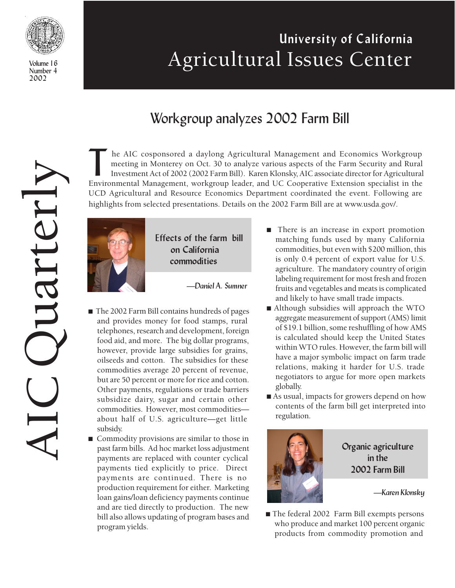

Volume 16 Number 4 2002

# University of California Agricultural Issues Center

## Workgroup analyzes 2002 Farm Bill

AICQuarterly Juanterh

The AIC cosponsored a daylong Agricultural Management and Economics Workgroup meeting in Monterey on Oct. 30 to analyze various aspects of the Farm Security and Rural Investment Act of 2002 (2002 Farm Bill). Karen Klonsky, he AIC cosponsored a daylong Agricultural Management and Economics Workgroup meeting in Monterey on Oct. 30 to analyze various aspects of the Farm Security and Rural Investment Act of 2002 (2002 Farm Bill). Karen Klonsky, AIC associate director for Agricultural UCD Agricultural and Resource Economics Department coordinated the event. Following are highlights from selected presentations. Details on the 2002 Farm Bill are at www.usda.gov/.



 Effects of the farm bill on California commodities

—Daniel A. Sumner

- The 2002 Farm Bill contains hundreds of pages and provides money for food stamps, rural telephones, research and development, foreign food aid, and more. The big dollar programs, however, provide large subsidies for grains, oilseeds and cotton. The subsidies for these commodities average 20 percent of revenue, but are 50 percent or more for rice and cotton. Other payments, regulations or trade barriers subsidize dairy, sugar and certain other commodities. However, most commodities about half of U.S. agriculture—get little subsidy.
- Commodity provisions are similar to those in past farm bills. Ad hoc market loss adjustment payments are replaced with counter cyclical payments tied explicitly to price. Direct payments are continued. There is no production requirement for either. Marketing loan gains/loan deficiency payments continue and are tied directly to production. The new bill also allows updating of program bases and program yields.
- There is an increase in export promotion matching funds used by many California commodities, but even with \$200 million, this is only 0.4 percent of export value for U.S. agriculture. The mandatory country of origin labeling requirement for most fresh and frozen fruits and vegetables and meats is complicated and likely to have small trade impacts.
- Although subsidies will approach the WTO aggregate measurement of support (AMS) limit of \$19.1 billion, some reshuffling of how AMS is calculated should keep the United States within WTO rules. However, the farm bill will have a major symbolic impact on farm trade relations, making it harder for U.S. trade negotiators to argue for more open markets globally.
- As usual, impacts for growers depend on how contents of the farm bill get interpreted into regulation.



Organic agriculture in the 2002 Farm Bill

—Karen Klonsky

■ The federal 2002 Farm Bill exempts persons who produce and market 100 percent organic products from commodity promotion and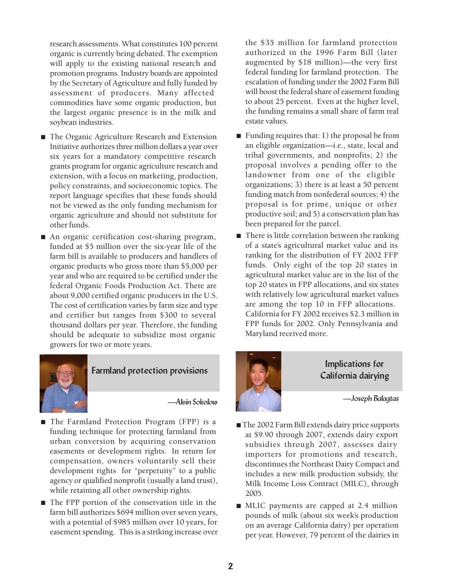research assessments. What constitutes 100 percent organic is currently being debated. The exemption will apply to the existing national research and promotion programs. Industry boards are appointed by the Secretary of Agriculture and fully funded by assessment of producers. Many affected commodities have some organic production, but the largest organic presence is in the milk and soybean industries.

- The Organic Agriculture Research and Extension Initiative authorizes three million dollars a year over six years for a mandatory competitive research grants program for organic agriculture research and extension, with a focus on marketing, production, policy constraints, and socioeconomic topics. The report language specifies that these funds should not be viewed as the only funding mechanism for organic agriculture and should not substitute for other funds.
- An organic certification cost-sharing program, funded at \$5 million over the six-year life of the farm bill is available to producers and handlers of organic products who gross more than \$5,000 per year and who are required to be certified under the federal Organic Foods Production Act. There are about 9,000 certified organic producers in the U.S. The cost of certification varies by farm size and type and certifier but ranges from \$300 to several thousand dollars per year. Therefore, the funding should be adequate to subsidize most organic growers for two or more years.



#### Farmland protection provisions

—Alvin Sokolow

- The Farmland Protection Program (FPP) is a funding technique for protecting farmland from urban conversion by acquiring conservation easements or development rights. In return for compensation, owners voluntarily sell their development rights for "perpetuity" to a public agency or qualified nonprofit (usually a land trust), while retaining all other ownership rights.
- The FPP portion of the conservation title in the farm bill authorizes \$694 million over seven years, with a potential of \$985 million over 10 years, for easement spending. This is a striking increase over

the \$35 million for farmland protection authorized in the 1996 Farm Bill (later augmented by \$18 million)—the very first federal funding for farmland protection. The escalation of funding under the 2002 Farm Bill will boost the federal share of easement funding to about 25 percent. Even at the higher level, the funding remains a small share of farm real estate values.

- Funding requires that: 1) the proposal be from an eligible organization—i.e., state, local and tribal governments, and nonprofits; 2) the proposal involves a pending offer to the landowner from one of the eligible organizations; 3) there is at least a 50 percent funding match from nonfederal sources; 4) the proposal is for prime, unique or other productive soil; and 5) a conservation plan has been prepared for the parcel.
- There is little correlation between the ranking of a state's agricultural market value and its ranking for the distribution of FY 2002 FFP funds. Only eight of the top 20 states in agricultural market value are in the list of the top 20 states in FPP allocations, and six states with relatively low agricultural market values are among the top 10 in FFP allocations. California for FY 2002 receives \$2.3 million in FPP funds for 2002. Only Pennsylvania and Maryland received more.



 Implications for California dairying

—Joseph Balagtas

- The 2002 Farm Bill extends dairy price supports at \$9.90 through 2007, extends dairy export subsidies through 2007, assesses dairy importers for promotions and research, discontinues the Northeast Dairy Compact and includes a new milk production subsidy, the Milk Income Loss Contract (MILC), through 2005.
- MLIC payments are capped at 2.4 million pounds of milk (about six week's production on an average California dairy) per operation per year. However, 79 percent of the dairies in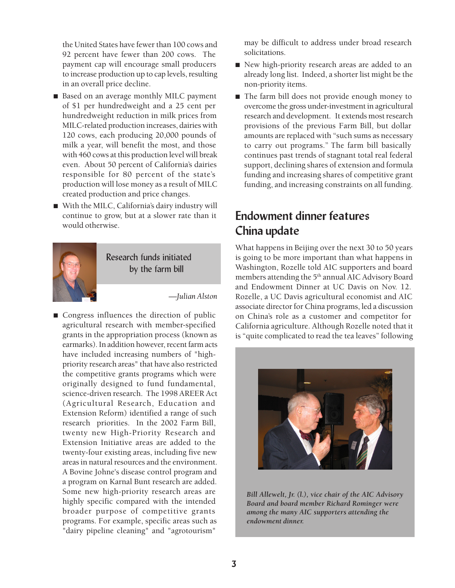the United States have fewer than 100 cows and 92 percent have fewer than 200 cows. The payment cap will encourage small producers to increase production up to cap levels, resulting in an overall price decline.

- Based on an average monthly MILC payment of \$1 per hundredweight and a 25 cent per hundredweight reduction in milk prices from MILC-related production increases, dairies with 120 cows, each producing 20,000 pounds of milk a year, will benefit the most, and those with 460 cows at this production level will break even. About 50 percent of California's dairies responsible for 80 percent of the state's production will lose money as a result of MILC created production and price changes.
- With the MILC, California's dairy industry will continue to grow, but at a slower rate than it would otherwise.



 Research funds initiated by the farm bill

—*Julian Alston*

■ Congress influences the direction of public agricultural research with member-specified grants in the appropriation process (known as earmarks). In addition however, recent farm acts have included increasing numbers of "highpriority research areas" that have also restricted the competitive grants programs which were originally designed to fund fundamental, science-driven research. The 1998 AREER Act (Agricultural Research, Education and Extension Reform) identified a range of such research priorities. In the 2002 Farm Bill, twenty new High-Priority Research and Extension Initiative areas are added to the twenty-four existing areas, including five new areas in natural resources and the environment. A Bovine Johne's disease control program and a program on Karnal Bunt research are added. Some new high-priority research areas are highly specific compared with the intended broader purpose of competitive grants programs. For example, specific areas such as "dairy pipeline cleaning" and "agrotourism"

may be difficult to address under broad research solicitations.

- New high-priority research areas are added to an already long list. Indeed, a shorter list might be the non-priority items.
- The farm bill does not provide enough money to overcome the gross under-investment in agricultural research and development. It extends most research provisions of the previous Farm Bill, but dollar amounts are replaced with "such sums as necessary to carry out programs." The farm bill basically continues past trends of stagnant total real federal support, declining shares of extension and formula funding and increasing shares of competitive grant funding, and increasing constraints on all funding.

## Endowment dinner features China update

What happens in Beijing over the next 30 to 50 years is going to be more important than what happens in Washington, Rozelle told AIC supporters and board members attending the 5<sup>th</sup> annual AIC Advisory Board and Endowment Dinner at UC Davis on Nov. 12. Rozelle, a UC Davis agricultural economist and AIC associate director for China programs, led a discussion on China's role as a customer and competitor for California agriculture. Although Rozelle noted that it is "quite complicated to read the tea leaves" following



*Bill Allewelt, Jr. (l.), vice chair of the AIC Advisory Board and board member Richard Rominger were among the many AIC supporters attending the endowment dinner.*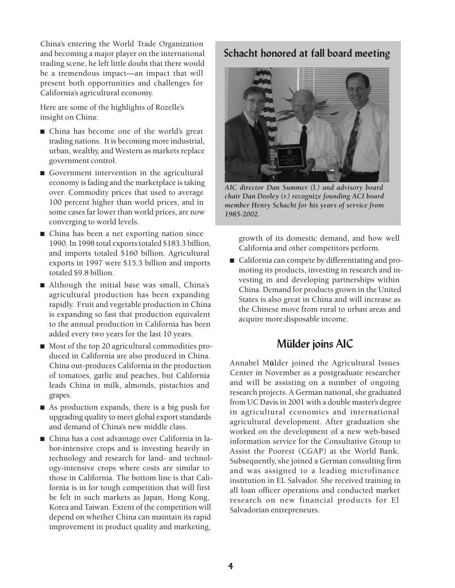China's entering the World Trade Organization and becoming a major player on the international trading scene, he left little doubt that there would be a tremendous impact—an impact that will present both opportunities and challenges for California's agricultural economy.

Here are some of the highlights of Rozelle's insight on China:

- China has become one of the world's great trading nations. It is becoming more industrial, urban, wealthy, and Western as markets replace government control.
- Government intervention in the agricultural economy is fading and the marketplace is taking over. Commodity prices that used to average 100 percent higher than world prices, and in some cases far lower than world prices, are now converging to world levels.
- China has been a net exporting nation since 1990. In 1998 total exports totaled \$183.3 billion, and imports totaled \$160 billion. Agricultural exports in 1997 were \$15.3 billion and imports totaled \$9.8 billion.
- Although the initial base was small, China's agricultural production has been expanding rapidly. Fruit and vegetable production in China is expanding so fast that production equivalent to the annual production in California has been added every two years for the last 10 years.
- Most of the top 20 agricultural commodities produced in California are also produced in China. China out-produces California in the production of tomatoes, garlic and peaches, but California leads China in milk, almonds, pistachios and grapes.
- As production expands, there is a big push for upgrading quality to meet global export standards and demand of China's new middle class.
- China has a cost advantage over California in labor-intensive crops and is investing heavily in technology and research for land- and technology-intensive crops where costs are similar to those in California. The bottom line is that California is in for tough competition that will first be felt in such markets as Japan, Hong Kong, Korea and Taiwan. Extent of the competition will depend on whether China can maintain its rapid improvement in product quality and marketing,

#### Schacht honored at fall board meeting



*AIC director Dan Summer (l.) and advisory board chair Dan Dooley (r.) recognize founding ACI board member Henry Schacht for his years of service from 1985-2002.*

growth of its domestic demand, and how well California and other competitors perform.

■ California can compete by differentiating and promoting its products, investing in research and investing in and developing partnerships within China. Demand for products grown in the United States is also great in China and will increase as the Chinese move from rural to urban areas and acquire more disposable income.

#### Mülder joins AIC

Annabel M**ü**lder joined the Agricultural Issues Center in November as a postgraduate researcher and will be assisting on a number of ongoing research projects. A German national, she graduated from UC Davis in 2001 with a double master's degree in agricultural economics and international agricultural development. After graduation she worked on the development of a new web-based information service for the Consultative Group to Assist the Poorest (CGAP) at the World Bank. Subsequently, she joined a German consulting firm and was assigned to a leading microfinance institution in EL Salvador. She received training in all loan officer operations and conducted market research on new financial products for El Salvadorian entrepreneurs.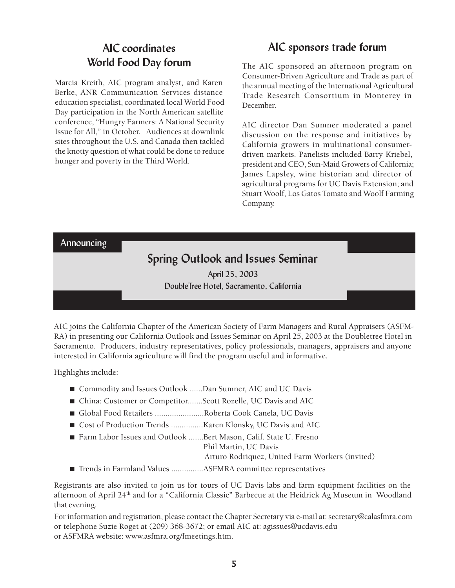## AIC coordinates World Food Day forum

Marcia Kreith, AIC program analyst, and Karen Berke, ANR Communication Services distance education specialist, coordinated local World Food Day participation in the North American satellite conference, "Hungry Farmers: A National Security Issue for All," in October. Audiences at downlink sites throughout the U.S. and Canada then tackled the knotty question of what could be done to reduce hunger and poverty in the Third World.

### AIC sponsors trade forum

The AIC sponsored an afternoon program on Consumer-Driven Agriculture and Trade as part of the annual meeting of the International Agricultural Trade Research Consortium in Monterey in December.

AIC director Dan Sumner moderated a panel discussion on the response and initiatives by California growers in multinational consumerdriven markets. Panelists included Barry Kriebel, president and CEO, Sun-Maid Growers of California; James Lapsley, wine historian and director of agricultural programs for UC Davis Extension; and Stuart Woolf, Los Gatos Tomato and Woolf Farming Company.

Announcing

## Spring Outlook and Issues Seminar

April 25, 2003 DoubleTree Hotel, Sacramento, California

AIC joins the California Chapter of the American Society of Farm Managers and Rural Appraisers (ASFM-RA) in presenting our California Outlook and Issues Seminar on April 25, 2003 at the Doubletree Hotel in Sacramento. Producers, industry representatives, policy professionals, managers, appraisers and anyone interested in California agriculture will find the program useful and informative.

Highlights include:

- Commodity and Issues Outlook ......Dan Sumner, AIC and UC Davis
- China: Customer or Competitor.......Scott Rozelle, UC Davis and AIC
- Global Food Retailers .........................Roberta Cook Canela, UC Davis
- Cost of Production Trends .................Karen Klonsky, UC Davis and AIC
- Farm Labor Issues and Outlook .......Bert Mason, Calif. State U. Fresno

Phil Martin, UC Davis

- Arturo Rodriquez, United Farm Workers (invited)
- Trends in Farmland Values .................ASFMRA committee representatives

Registrants are also invited to join us for tours of UC Davis labs and farm equipment facilities on the afternoon of April 24th and for a "California Classic" Barbecue at the Heidrick Ag Museum in Woodland that evening.

For information and registration, please contact the Chapter Secretary via e-mail at: secretary@calasfmra.com or telephone Suzie Roget at (209) 368-3672; or email AIC at: agissues@ucdavis.edu or ASFMRA website: www.asfmra.org/fmeetings.htm.